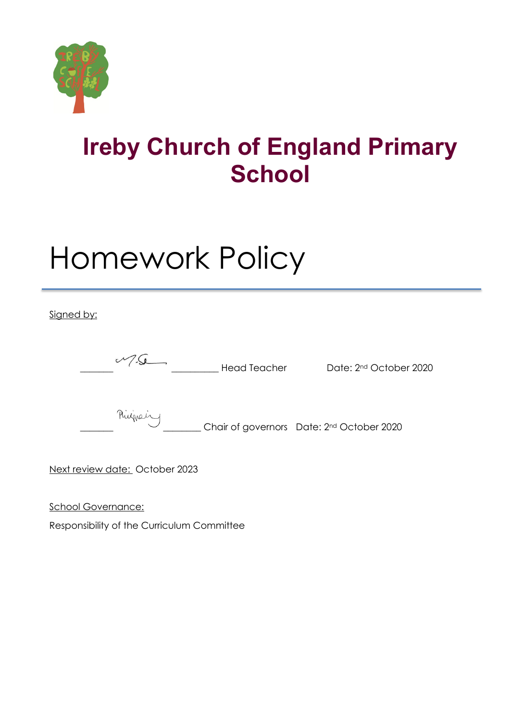

## **Ireby Church of England Primary School**

# Homework Policy

Signed by:

 $\sqrt{2\pi}$  Head Teacher Date:  $2^{nd}$  October 2020

Ringward Chair of governors Date: 2<sup>nd</sup> October 2020

Next review date: October 2023

School Governance:

Responsibility of the Curriculum Committee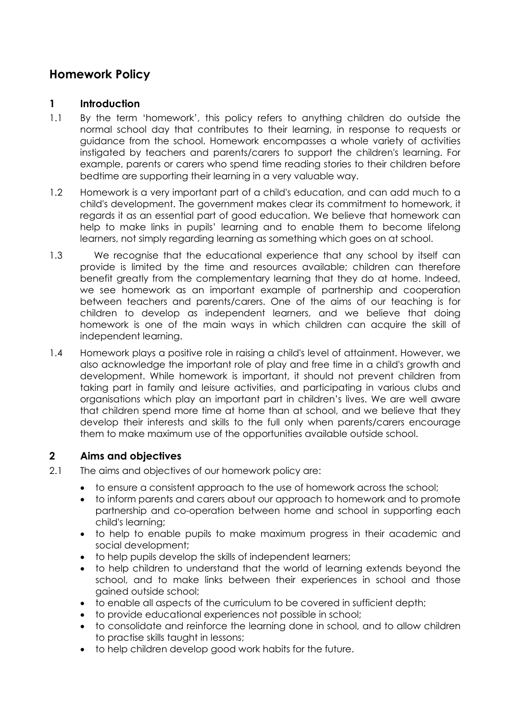### **Homework Policy**

#### **1 Introduction**

- 1.1 By the term 'homework', this policy refers to anything children do outside the normal school day that contributes to their learning, in response to requests or guidance from the school. Homework encompasses a whole variety of activities instigated by teachers and parents/carers to support the children's learning. For example, parents or carers who spend time reading stories to their children before bedtime are supporting their learning in a very valuable way.
- 1.2 Homework is a very important part of a child's education, and can add much to a child's development. The government makes clear its commitment to homework, it regards it as an essential part of good education. We believe that homework can help to make links in pupils' learning and to enable them to become lifelong learners, not simply regarding learning as something which goes on at school.
- 1.3 We recognise that the educational experience that any school by itself can provide is limited by the time and resources available; children can therefore benefit greatly from the complementary learning that they do at home. Indeed, we see homework as an important example of partnership and cooperation between teachers and parents/carers. One of the aims of our teaching is for children to develop as independent learners, and we believe that doing homework is one of the main ways in which children can acquire the skill of independent learning.
- 1.4 Homework plays a positive role in raising a child's level of attainment. However, we also acknowledge the important role of play and free time in a child's growth and development. While homework is important, it should not prevent children from taking part in family and leisure activities, and participating in various clubs and organisations which play an important part in children's lives. We are well aware that children spend more time at home than at school, and we believe that they develop their interests and skills to the full only when parents/carers encourage them to make maximum use of the opportunities available outside school.

#### **2 Aims and objectives**

- 2.1 The aims and objectives of our homework policy are:
	- to ensure a consistent approach to the use of homework across the school;
	- to inform parents and carers about our approach to homework and to promote partnership and co-operation between home and school in supporting each child's learning;
	- to help to enable pupils to make maximum progress in their academic and social development;
	- to help pupils develop the skills of independent learners;
	- to help children to understand that the world of learning extends beyond the school, and to make links between their experiences in school and those gained outside school;
	- to enable all aspects of the curriculum to be covered in sufficient depth;
	- to provide educational experiences not possible in school;
	- to consolidate and reinforce the learning done in school, and to allow children to practise skills taught in lessons;
	- to help children develop good work habits for the future.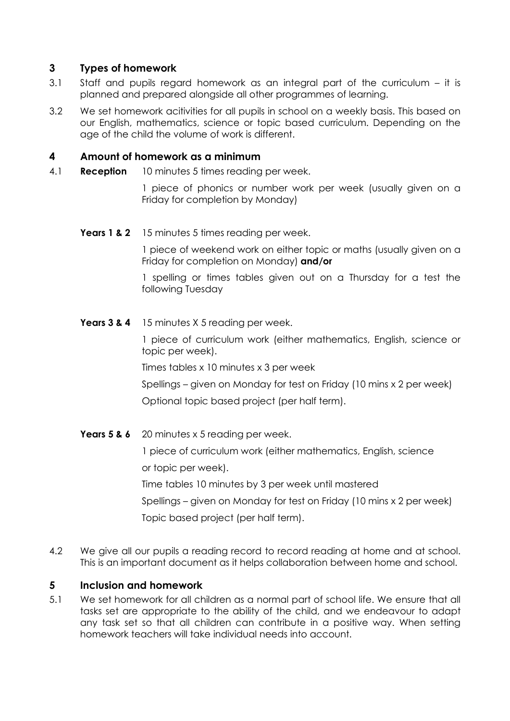#### **3 Types of homework**

- 3.1 Staff and pupils regard homework as an integral part of the curriculum it is planned and prepared alongside all other programmes of learning.
- 3.2 We set homework acitivities for all pupils in school on a weekly basis. This based on our English, mathematics, science or topic based curriculum. Depending on the age of the child the volume of work is different.

#### **4 Amount of homework as a minimum**

4.1 **Reception** 10 minutes 5 times reading per week.

1 piece of phonics or number work per week (usually given on a Friday for completion by Monday)

**Years 1 & 2** 15 minutes 5 times reading per week.

1 piece of weekend work on either topic or maths (usually given on a Friday for completion on Monday) **and/or**

1 spelling or times tables given out on a Thursday for a test the following Tuesday

**Years 3 & 4** 15 minutes X 5 reading per week.

1 piece of curriculum work (either mathematics, English, science or topic per week).

Times tables x 10 minutes x 3 per week

Spellings – given on Monday for test on Friday (10 mins x 2 per week) Optional topic based project (per half term).

Years 5 & 6 20 minutes x 5 reading per week.

1 piece of curriculum work (either mathematics, English, science or topic per week).

Time tables 10 minutes by 3 per week until mastered

Spellings – given on Monday for test on Friday (10 mins x 2 per week) Topic based project (per half term).

4.2 We give all our pupils a reading record to record reading at home and at school. This is an important document as it helps collaboration between home and school.

#### **5 Inclusion and homework**

5.1 We set homework for all children as a normal part of school life. We ensure that all tasks set are appropriate to the ability of the child, and we endeavour to adapt any task set so that all children can contribute in a positive way. When setting homework teachers will take individual needs into account.